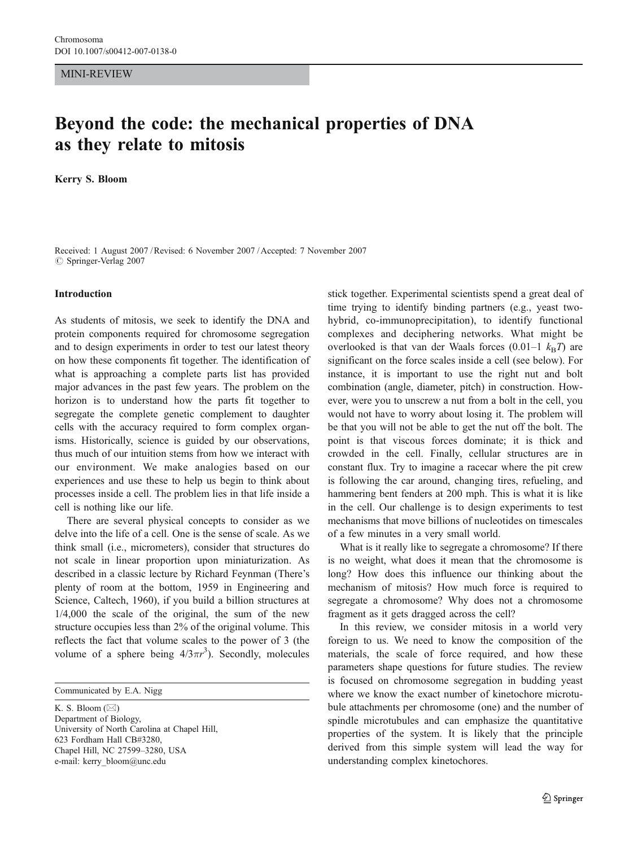#### MINI-REVIEW

# Beyond the code: the mechanical properties of DNA as they relate to mitosis

Kerry S. Bloom

Received: 1 August 2007 /Revised: 6 November 2007 /Accepted: 7 November 2007  $\oslash$  Springer-Verlag 2007

#### Introduction

As students of mitosis, we seek to identify the DNA and protein components required for chromosome segregation and to design experiments in order to test our latest theory on how these components fit together. The identification of what is approaching a complete parts list has provided major advances in the past few years. The problem on the horizon is to understand how the parts fit together to segregate the complete genetic complement to daughter cells with the accuracy required to form complex organisms. Historically, science is guided by our observations, thus much of our intuition stems from how we interact with our environment. We make analogies based on our experiences and use these to help us begin to think about processes inside a cell. The problem lies in that life inside a cell is nothing like our life.

There are several physical concepts to consider as we delve into the life of a cell. One is the sense of scale. As we think small (i.e., micrometers), consider that structures do not scale in linear proportion upon miniaturization. As described in a classic lecture by Richard Feynman (There's plenty of room at the bottom, 1959 in Engineering and Science, Caltech, 1960), if you build a billion structures at 1/4,000 the scale of the original, the sum of the new structure occupies less than 2% of the original volume. This reflects the fact that volume scales to the power of 3 (the volume of a sphere being  $4/3\pi r^3$ ). Secondly, molecules

Communicated by E.A. Nigg

K. S. Bloom (*\**) Department of Biology, University of North Carolina at Chapel Hill, 623 Fordham Hall CB#3280, Chapel Hill, NC 27599–3280, USA e-mail: kerry\_bloom@unc.edu

stick together. Experimental scientists spend a great deal of time trying to identify binding partners (e.g., yeast twohybrid, co-immunoprecipitation), to identify functional complexes and deciphering networks. What might be overlooked is that van der Waals forces  $(0.01-1 \, k_BT)$  are significant on the force scales inside a cell (see below). For instance, it is important to use the right nut and bolt combination (angle, diameter, pitch) in construction. However, were you to unscrew a nut from a bolt in the cell, you would not have to worry about losing it. The problem will be that you will not be able to get the nut off the bolt. The point is that viscous forces dominate; it is thick and crowded in the cell. Finally, cellular structures are in constant flux. Try to imagine a racecar where the pit crew is following the car around, changing tires, refueling, and hammering bent fenders at 200 mph. This is what it is like in the cell. Our challenge is to design experiments to test mechanisms that move billions of nucleotides on timescales of a few minutes in a very small world.

What is it really like to segregate a chromosome? If there is no weight, what does it mean that the chromosome is long? How does this influence our thinking about the mechanism of mitosis? How much force is required to segregate a chromosome? Why does not a chromosome fragment as it gets dragged across the cell?

In this review, we consider mitosis in a world very foreign to us. We need to know the composition of the materials, the scale of force required, and how these parameters shape questions for future studies. The review is focused on chromosome segregation in budding yeast where we know the exact number of kinetochore microtubule attachments per chromosome (one) and the number of spindle microtubules and can emphasize the quantitative properties of the system. It is likely that the principle derived from this simple system will lead the way for understanding complex kinetochores.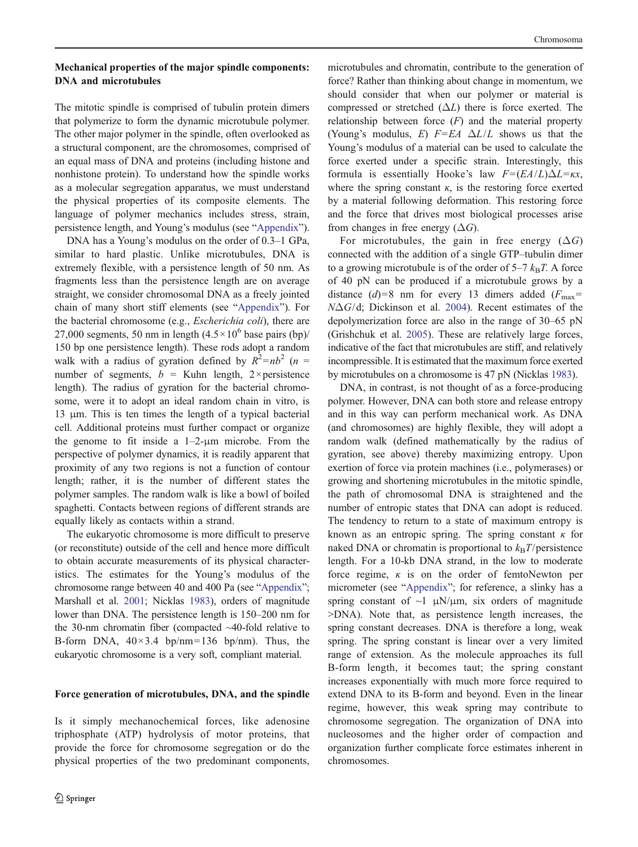# Mechanical properties of the major spindle components: DNA and microtubules

The mitotic spindle is comprised of tubulin protein dimers that polymerize to form the dynamic microtubule polymer. The other major polymer in the spindle, often overlooked as a structural component, are the chromosomes, comprised of an equal mass of DNA and proteins (including histone and nonhistone protein). To understand how the spindle works as a molecular segregation apparatus, we must understand the physical properties of its composite elements. The language of polymer mechanics includes stress, strain, persistence length, and Young's modulus (see "[Appendix](#page-5-0)").

DNA has a Young's modulus on the order of 0.3–1 GPa, similar to hard plastic. Unlike microtubules, DNA is extremely flexible, with a persistence length of 50 nm. As fragments less than the persistence length are on average straight, we consider chromosomal DNA as a freely jointed chain of many short stiff elements (see "[Appendix](#page-5-0)"). For the bacterial chromosome (e.g., Escherichia coli), there are 27,000 segments, 50 nm in length  $(4.5 \times 10^6$  base pairs (bp)/ 150 bp one persistence length). These rods adopt a random walk with a radius of gyration defined by  $R^2 = nb^2$  (*n* = number of segments,  $b =$ Kuhn length, 2×persistence length). The radius of gyration for the bacterial chromosome, were it to adopt an ideal random chain in vitro, is 13 μm. This is ten times the length of a typical bacterial cell. Additional proteins must further compact or organize the genome to fit inside a  $1-2$ -μm microbe. From the perspective of polymer dynamics, it is readily apparent that proximity of any two regions is not a function of contour length; rather, it is the number of different states the polymer samples. The random walk is like a bowl of boiled spaghetti. Contacts between regions of different strands are equally likely as contacts within a strand.

The eukaryotic chromosome is more difficult to preserve (or reconstitute) outside of the cell and hence more difficult to obtain accurate measurements of its physical characteristics. The estimates for the Young's modulus of the chromosome range between 40 and 400 Pa (see "[Appendix](#page-5-0)"; Marshall et al. [2001](#page-7-0); Nicklas [1983](#page-7-0)), orders of magnitude lower than DNA. The persistence length is 150–200 nm for the 30-nm chromatin fiber (compacted ~40-fold relative to B-form DNA,  $40 \times 3.4$  bp/nm=136 bp/nm). Thus, the eukaryotic chromosome is a very soft, compliant material.

## Force generation of microtubules, DNA, and the spindle

Is it simply mechanochemical forces, like adenosine triphosphate (ATP) hydrolysis of motor proteins, that provide the force for chromosome segregation or do the physical properties of the two predominant components,

microtubules and chromatin, contribute to the generation of force? Rather than thinking about change in momentum, we should consider that when our polymer or material is compressed or stretched  $(\Delta L)$  there is force exerted. The relationship between force  $(F)$  and the material property (Young's modulus, E)  $F=EA \Delta L/L$  shows us that the Young's modulus of a material can be used to calculate the force exerted under a specific strain. Interestingly, this formula is essentially Hooke's law  $F = (E A/L) \Delta L = \kappa x$ , where the spring constant  $\kappa$ , is the restoring force exerted by a material following deformation. This restoring force and the force that drives most biological processes arise from changes in free energy  $(\Delta G)$ .

For microtubules, the gain in free energy  $(\Delta G)$ connected with the addition of a single GTP–tubulin dimer to a growing microtubule is of the order of  $5-7$   $k_BT$ . A force of 40 pN can be produced if a microtubule grows by a distance (d)=8 nm for every 13 dimers added ( $F_{\text{max}}$ = NΔG/d; Dickinson et al. [2004\)](#page-7-0). Recent estimates of the depolymerization force are also in the range of 30–65 pN (Grishchuk et al. [2005](#page-7-0)). These are relatively large forces, indicative of the fact that microtubules are stiff, and relatively incompressible. It is estimated that the maximum force exerted by microtubules on a chromosome is 47 pN (Nicklas [1983](#page-7-0)).

DNA, in contrast, is not thought of as a force-producing polymer. However, DNA can both store and release entropy and in this way can perform mechanical work. As DNA (and chromosomes) are highly flexible, they will adopt a random walk (defined mathematically by the radius of gyration, see above) thereby maximizing entropy. Upon exertion of force via protein machines (i.e., polymerases) or growing and shortening microtubules in the mitotic spindle, the path of chromosomal DNA is straightened and the number of entropic states that DNA can adopt is reduced. The tendency to return to a state of maximum entropy is known as an entropic spring. The spring constant  $\kappa$  for naked DNA or chromatin is proportional to  $k_BT/p$  ersistence length. For a 10-kb DNA strand, in the low to moderate force regime,  $\kappa$  is on the order of femtoNewton per micrometer (see "[Appendix](#page-5-0)"; for reference, a slinky has a spring constant of  $\sim$ 1 μN/μm, six orders of magnitude >DNA). Note that, as persistence length increases, the spring constant decreases. DNA is therefore a long, weak spring. The spring constant is linear over a very limited range of extension. As the molecule approaches its full B-form length, it becomes taut; the spring constant increases exponentially with much more force required to extend DNA to its B-form and beyond. Even in the linear regime, however, this weak spring may contribute to chromosome segregation. The organization of DNA into nucleosomes and the higher order of compaction and organization further complicate force estimates inherent in chromosomes.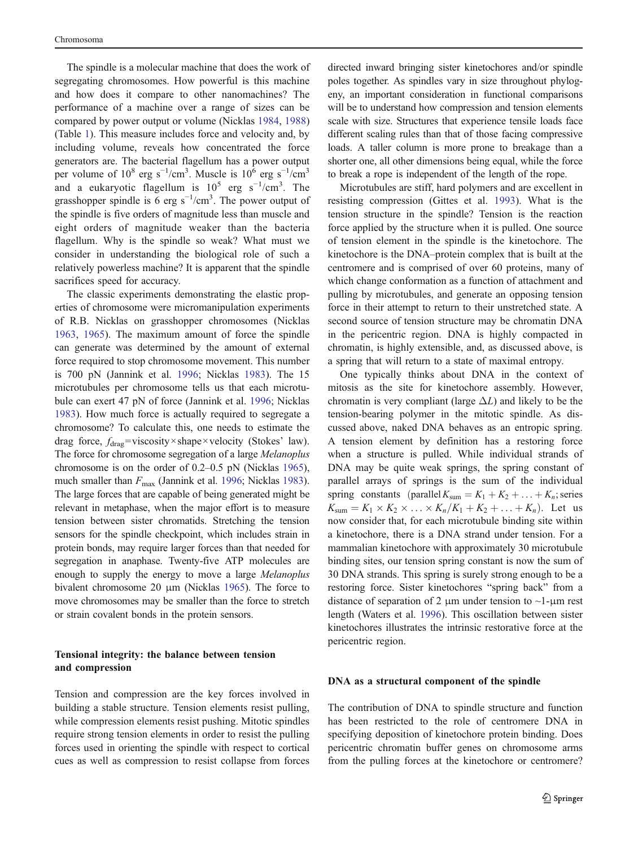The spindle is a molecular machine that does the work of segregating chromosomes. How powerful is this machine and how does it compare to other nanomachines? The performance of a machine over a range of sizes can be compared by power output or volume (Nicklas [1984,](#page-7-0) [1988\)](#page-7-0) (Table [1\)](#page-3-0). This measure includes force and velocity and, by including volume, reveals how concentrated the force generators are. The bacterial flagellum has a power output per volume of  $10^8$  erg s<sup>-1</sup>/cm<sup>3</sup>. Muscle is  $10^6$  erg s<sup>-1</sup>/cm<sup>3</sup> and a eukaryotic flagellum is  $10^5$  erg s<sup>-1</sup>/cm<sup>3</sup>. The grasshopper spindle is 6 erg  $s^{-1}/cm^3$ . The power output of the spindle is five orders of magnitude less than muscle and eight orders of magnitude weaker than the bacteria flagellum. Why is the spindle so weak? What must we consider in understanding the biological role of such a relatively powerless machine? It is apparent that the spindle sacrifices speed for accuracy.

The classic experiments demonstrating the elastic properties of chromosome were micromanipulation experiments of R.B. Nicklas on grasshopper chromosomes (Nicklas [1963,](#page-7-0) [1965\)](#page-7-0). The maximum amount of force the spindle can generate was determined by the amount of external force required to stop chromosome movement. This number is 700 pN (Jannink et al. [1996](#page-7-0); Nicklas [1983](#page-7-0)). The 15 microtubules per chromosome tells us that each microtubule can exert 47 pN of force (Jannink et al. [1996](#page-7-0); Nicklas [1983\)](#page-7-0). How much force is actually required to segregate a chromosome? To calculate this, one needs to estimate the drag force,  $f_{drag}$ =viscosity×shape×velocity (Stokes' law). The force for chromosome segregation of a large Melanoplus chromosome is on the order of 0.2–0.5 pN (Nicklas [1965\)](#page-7-0), much smaller than  $F_{\text{max}}$  (Jannink et al. [1996;](#page-7-0) Nicklas [1983\)](#page-7-0). The large forces that are capable of being generated might be relevant in metaphase, when the major effort is to measure tension between sister chromatids. Stretching the tension sensors for the spindle checkpoint, which includes strain in protein bonds, may require larger forces than that needed for segregation in anaphase. Twenty-five ATP molecules are enough to supply the energy to move a large Melanoplus bivalent chromosome 20 μm (Nicklas [1965\)](#page-7-0). The force to move chromosomes may be smaller than the force to stretch or strain covalent bonds in the protein sensors.

# Tensional integrity: the balance between tension and compression

Tension and compression are the key forces involved in building a stable structure. Tension elements resist pulling, while compression elements resist pushing. Mitotic spindles require strong tension elements in order to resist the pulling forces used in orienting the spindle with respect to cortical cues as well as compression to resist collapse from forces

directed inward bringing sister kinetochores and/or spindle poles together. As spindles vary in size throughout phylogeny, an important consideration in functional comparisons will be to understand how compression and tension elements scale with size. Structures that experience tensile loads face different scaling rules than that of those facing compressive loads. A taller column is more prone to breakage than a shorter one, all other dimensions being equal, while the force to break a rope is independent of the length of the rope.

Microtubules are stiff, hard polymers and are excellent in resisting compression (Gittes et al. [1993](#page-7-0)). What is the tension structure in the spindle? Tension is the reaction force applied by the structure when it is pulled. One source of tension element in the spindle is the kinetochore. The kinetochore is the DNA–protein complex that is built at the centromere and is comprised of over 60 proteins, many of which change conformation as a function of attachment and pulling by microtubules, and generate an opposing tension force in their attempt to return to their unstretched state. A second source of tension structure may be chromatin DNA in the pericentric region. DNA is highly compacted in chromatin, is highly extensible, and, as discussed above, is a spring that will return to a state of maximal entropy.

One typically thinks about DNA in the context of mitosis as the site for kinetochore assembly. However, chromatin is very compliant (large  $\Delta L$ ) and likely to be the tension-bearing polymer in the mitotic spindle. As discussed above, naked DNA behaves as an entropic spring. A tension element by definition has a restoring force when a structure is pulled. While individual strands of DNA may be quite weak springs, the spring constant of parallel arrays of springs is the sum of the individual spring constants (parallel  $K_{sum} = K_1 + K_2 + \ldots + K_n$ ; series  $K_{sum} = K_1 \times K_2 \times \ldots \times K_n/K_1 + K_2 + \ldots + K_n$ . Let us now consider that, for each microtubule binding site within a kinetochore, there is a DNA strand under tension. For a mammalian kinetochore with approximately 30 microtubule binding sites, our tension spring constant is now the sum of 30 DNA strands. This spring is surely strong enough to be a restoring force. Sister kinetochores "spring back" from a distance of separation of 2 μm under tension to  $\sim$ 1-μm rest length (Waters et al. [1996](#page-7-0)). This oscillation between sister kinetochores illustrates the intrinsic restorative force at the pericentric region.

#### DNA as a structural component of the spindle

The contribution of DNA to spindle structure and function has been restricted to the role of centromere DNA in specifying deposition of kinetochore protein binding. Does pericentric chromatin buffer genes on chromosome arms from the pulling forces at the kinetochore or centromere?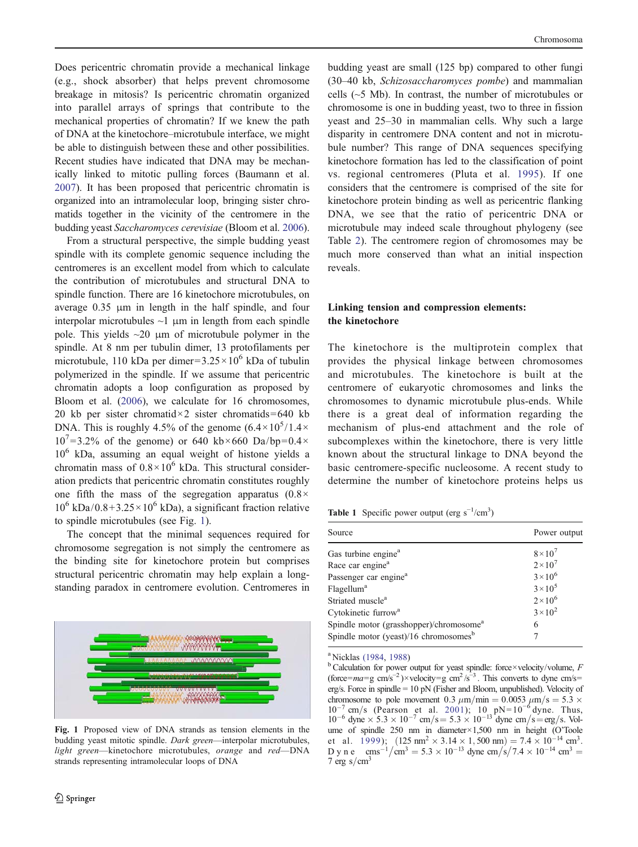<span id="page-3-0"></span>Does pericentric chromatin provide a mechanical linkage (e.g., shock absorber) that helps prevent chromosome breakage in mitosis? Is pericentric chromatin organized into parallel arrays of springs that contribute to the mechanical properties of chromatin? If we knew the path of DNA at the kinetochore–microtubule interface, we might be able to distinguish between these and other possibilities. Recent studies have indicated that DNA may be mechanically linked to mitotic pulling forces (Baumann et al. [2007\)](#page-6-0). It has been proposed that pericentric chromatin is organized into an intramolecular loop, bringing sister chromatids together in the vicinity of the centromere in the budding yeast Saccharomyces cerevisiae (Bloom et al. [2006\)](#page-6-0).

From a structural perspective, the simple budding yeast spindle with its complete genomic sequence including the centromeres is an excellent model from which to calculate the contribution of microtubules and structural DNA to spindle function. There are 16 kinetochore microtubules, on average 0.35 μm in length in the half spindle, and four interpolar microtubules  $\sim$ 1  $\mu$ m in length from each spindle pole. This yields  $\sim$ 20  $\mu$ m of microtubule polymer in the spindle. At 8 nm per tubulin dimer, 13 protofilaments per microtubule, 110 kDa per dimer= $3.25 \times 10^6$  kDa of tubulin polymerized in the spindle. If we assume that pericentric chromatin adopts a loop configuration as proposed by Bloom et al. ([2006\)](#page-6-0), we calculate for 16 chromosomes, 20 kb per sister chromatid $\times$ 2 sister chromatids=640 kb DNA. This is roughly 4.5% of the genome  $(6.4 \times 10^5/1.4 \times$  $10^7 = 3.2\%$  of the genome) or 640 kb×660 Da/bp=0.4×  $10<sup>6</sup>$  kDa, assuming an equal weight of histone yields a chromatin mass of  $0.8 \times 10^6$  kDa. This structural consideration predicts that pericentric chromatin constitutes roughly one fifth the mass of the segregation apparatus  $(0.8 \times$  $10^6$  kDa/0.8+3.25×10<sup>6</sup> kDa), a significant fraction relative to spindle microtubules (see Fig. 1).

The concept that the minimal sequences required for chromosome segregation is not simply the centromere as the binding site for kinetochore protein but comprises structural pericentric chromatin may help explain a longstanding paradox in centromere evolution. Centromeres in



Fig. 1 Proposed view of DNA strands as tension elements in the budding yeast mitotic spindle. Dark green—interpolar microtubules, light green—kinetochore microtubules, orange and red—DNA strands representing intramolecular loops of DNA

budding yeast are small (125 bp) compared to other fungi (30–40 kb, Schizosaccharomyces pombe) and mammalian cells (~5 Mb). In contrast, the number of microtubules or chromosome is one in budding yeast, two to three in fission yeast and 25–30 in mammalian cells. Why such a large disparity in centromere DNA content and not in microtubule number? This range of DNA sequences specifying kinetochore formation has led to the classification of point vs. regional centromeres (Pluta et al. [1995\)](#page-7-0). If one considers that the centromere is comprised of the site for kinetochore protein binding as well as pericentric flanking DNA, we see that the ratio of pericentric DNA or microtubule may indeed scale throughout phylogeny (see Table [2\)](#page-5-0). The centromere region of chromosomes may be much more conserved than what an initial inspection reveals.

## Linking tension and compression elements: the kinetochore

The kinetochore is the multiprotein complex that provides the physical linkage between chromosomes and microtubules. The kinetochore is built at the centromere of eukaryotic chromosomes and links the chromosomes to dynamic microtubule plus-ends. While there is a great deal of information regarding the mechanism of plus-end attachment and the role of subcomplexes within the kinetochore, there is very little known about the structural linkage to DNA beyond the basic centromere-specific nucleosome. A recent study to determine the number of kinetochore proteins helps us

Table 1 Specific power output (erg  $s^{-1}/cm^3$ )

| Source                                              | Power output      |
|-----------------------------------------------------|-------------------|
| Gas turbine engine <sup>a</sup>                     | $8 \times 10^{7}$ |
| Race car engine <sup>a</sup>                        | $2 \times 10^7$   |
| Passenger car engine <sup>a</sup>                   | $3 \times 10^6$   |
| Flagellum <sup>a</sup>                              | $3 \times 10^5$   |
| Striated muscle <sup>a</sup>                        | $2 \times 10^6$   |
| Cytokinetic furrow <sup>a</sup>                     | $3 \times 10^2$   |
| Spindle motor (grasshopper)/chromosome <sup>a</sup> | 6                 |
| Spindle motor (yeast)/16 chromosomes <sup>b</sup>   |                   |

<sup>a</sup> Nicklas [\(1984](#page-7-0), [1988](#page-7-0)) bCalculation for power output for yeast spindle: force×velocity/volume, F (force= $ma = g \text{ cm/s}^{-2}$ )×velocity=g cm<sup>2</sup>/s<sup>-3</sup>. This converts to dyne cm/s= erg/s. Force in spindle = 10 pN (Fisher and Bloom, unpublished). Velocity of chromosome to pole movement 0.3  $\mu$ m/min = 0.0053  $\mu$ m/s = 5.3  $\times$  $10^{-7}$  cm/s (Pearson et al. [2001](#page-7-0)); 10 pN= $10^{-6}$  dyne. Thus,  $10^{-6}$  dyne  $\times 5.3 \times 10^{-7}$  cm/s = 5.3  $\times 10^{-13}$  dyne cm/s = erg/s. Volume of spindle 250 nm in diameter×1,500 nm in height (O'Toole et al. [1999](#page-7-0));  $(125 \text{ nm}^2 \times 3.14 \times 1,500 \text{ nm}) = 7.4 \times 10^{-14} \text{ cm}^3$ . D y n e cms<sup>-1</sup>/cm<sup>3</sup> = 5.3 × 10<sup>-13</sup> dyne cm/s/7.4 × 10<sup>-14</sup> cm<sup>3</sup> = 7 erg s/cm<sup>3</sup>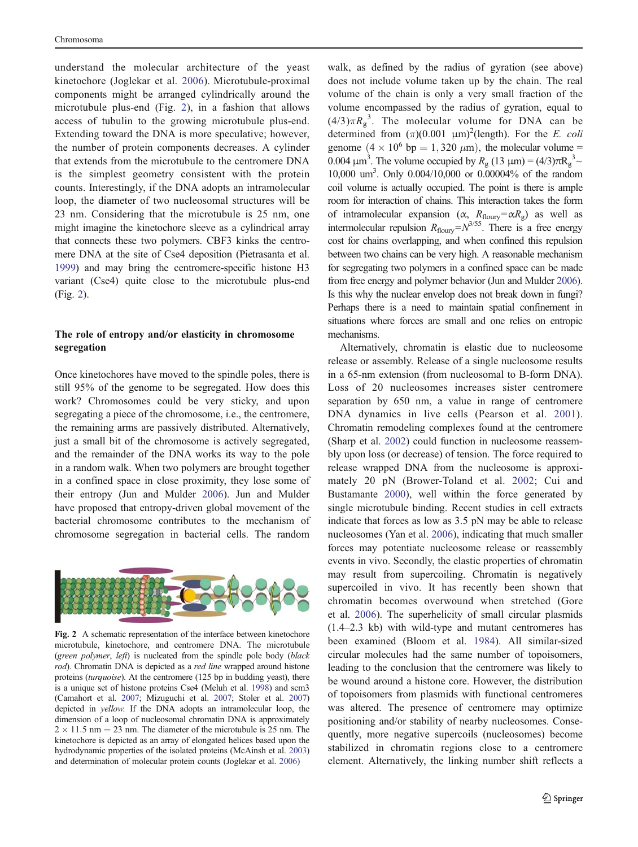understand the molecular architecture of the yeast kinetochore (Joglekar et al. [2006](#page-7-0)). Microtubule-proximal components might be arranged cylindrically around the microtubule plus-end (Fig. 2), in a fashion that allows access of tubulin to the growing microtubule plus-end. Extending toward the DNA is more speculative; however, the number of protein components decreases. A cylinder that extends from the microtubule to the centromere DNA is the simplest geometry consistent with the protein counts. Interestingly, if the DNA adopts an intramolecular loop, the diameter of two nucleosomal structures will be 23 nm. Considering that the microtubule is 25 nm, one might imagine the kinetochore sleeve as a cylindrical array that connects these two polymers. CBF3 kinks the centromere DNA at the site of Cse4 deposition (Pietrasanta et al. [1999\)](#page-7-0) and may bring the centromere-specific histone H3 variant (Cse4) quite close to the microtubule plus-end (Fig. 2).

# The role of entropy and/or elasticity in chromosome segregation

Once kinetochores have moved to the spindle poles, there is still 95% of the genome to be segregated. How does this work? Chromosomes could be very sticky, and upon segregating a piece of the chromosome, i.e., the centromere, the remaining arms are passively distributed. Alternatively, just a small bit of the chromosome is actively segregated, and the remainder of the DNA works its way to the pole in a random walk. When two polymers are brought together in a confined space in close proximity, they lose some of their entropy (Jun and Mulder [2006\)](#page-7-0). Jun and Mulder have proposed that entropy-driven global movement of the bacterial chromosome contributes to the mechanism of chromosome segregation in bacterial cells. The random



Fig. 2 A schematic representation of the interface between kinetochore microtubule, kinetochore, and centromere DNA. The microtubule (green polymer, left) is nucleated from the spindle pole body (black rod). Chromatin DNA is depicted as a red line wrapped around histone proteins (turquoise). At the centromere (125 bp in budding yeast), there is a unique set of histone proteins Cse4 (Meluh et al. [1998](#page-7-0)) and scm3 (Camahort et al. [2007;](#page-7-0) Mizuguchi et al. [2007](#page-7-0); Stoler et al. [2007](#page-7-0)) depicted in yellow. If the DNA adopts an intramolecular loop, the dimension of a loop of nucleosomal chromatin DNA is approximately  $2 \times 11.5$  nm = 23 nm. The diameter of the microtubule is 25 nm. The kinetochore is depicted as an array of elongated helices based upon the hydrodynamic properties of the isolated proteins (McAinsh et al. [2003](#page-7-0)) and determination of molecular protein counts (Joglekar et al. [2006](#page-7-0))

walk, as defined by the radius of gyration (see above) does not include volume taken up by the chain. The real volume of the chain is only a very small fraction of the volume encompassed by the radius of gyration, equal to  $(4/3)\pi R$ <sup>3</sup>. The molecular volume for DNA can be determined from  $(\pi)(0.001 \text{ }\mu\text{m})^2$ (length). For the *E. coli* genome  $(4 \times 10^6$  bp = 1,320  $\mu$ m), the molecular volume = 0.004 μm<sup>3</sup>. The volume occupied by  $R<sub>g</sub>$  (13 μm) = (4/3) $\pi R<sub>g</sub>$ <sup>3</sup> ~ 10,000 um3 . Only 0.004/10,000 or 0.00004% of the random coil volume is actually occupied. The point is there is ample room for interaction of chains. This interaction takes the form of intramolecular expansion  $(\alpha, R_{\text{flow}} = \alpha R_g)$  as well as intermolecular repulsion  $R_{\text{flow}} = N^{3/55}$ . There is a free energy cost for chains overlapping, and when confined this repulsion between two chains can be very high. A reasonable mechanism for segregating two polymers in a confined space can be made from free energy and polymer behavior (Jun and Mulder [2006\)](#page-7-0). Is this why the nuclear envelop does not break down in fungi? Perhaps there is a need to maintain spatial confinement in situations where forces are small and one relies on entropic mechanisms.

Alternatively, chromatin is elastic due to nucleosome release or assembly. Release of a single nucleosome results in a 65-nm extension (from nucleosomal to B-form DNA). Loss of 20 nucleosomes increases sister centromere separation by 650 nm, a value in range of centromere DNA dynamics in live cells (Pearson et al. [2001](#page-7-0)). Chromatin remodeling complexes found at the centromere (Sharp et al. [2002](#page-7-0)) could function in nucleosome reassembly upon loss (or decrease) of tension. The force required to release wrapped DNA from the nucleosome is approximately 20 pN (Brower-Toland et al. [2002](#page-6-0); Cui and Bustamante [2000\)](#page-7-0), well within the force generated by single microtubule binding. Recent studies in cell extracts indicate that forces as low as 3.5 pN may be able to release nucleosomes (Yan et al. [2006\)](#page-7-0), indicating that much smaller forces may potentiate nucleosome release or reassembly events in vivo. Secondly, the elastic properties of chromatin may result from supercoiling. Chromatin is negatively supercoiled in vivo. It has recently been shown that chromatin becomes overwound when stretched (Gore et al. [2006](#page-7-0)). The superhelicity of small circular plasmids (1.4–2.3 kb) with wild-type and mutant centromeres has been examined (Bloom et al. [1984](#page-6-0)). All similar-sized circular molecules had the same number of topoisomers, leading to the conclusion that the centromere was likely to be wound around a histone core. However, the distribution of topoisomers from plasmids with functional centromeres was altered. The presence of centromere may optimize positioning and/or stability of nearby nucleosomes. Consequently, more negative supercoils (nucleosomes) become stabilized in chromatin regions close to a centromere element. Alternatively, the linking number shift reflects a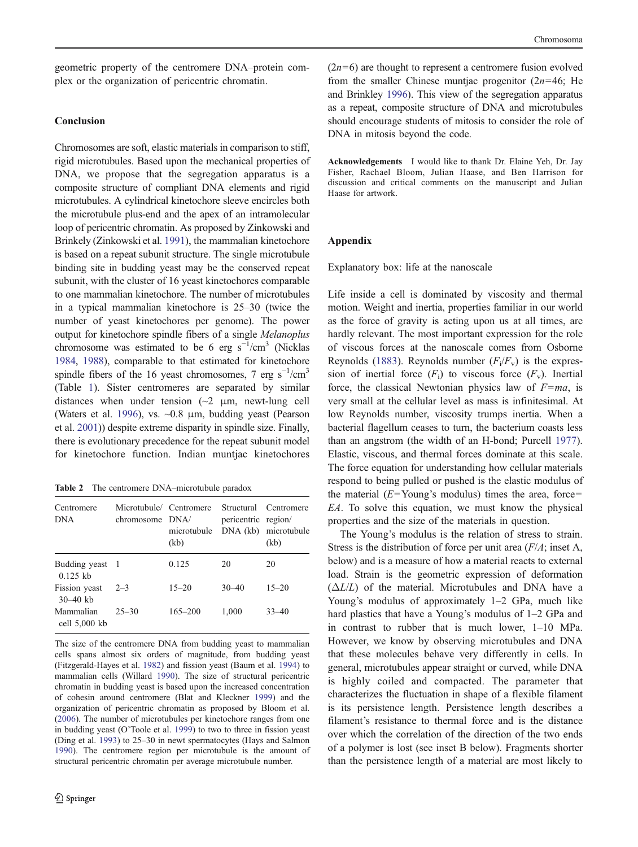<span id="page-5-0"></span>geometric property of the centromere DNA–protein complex or the organization of pericentric chromatin.

## Conclusion

Chromosomes are soft, elastic materials in comparison to stiff, rigid microtubules. Based upon the mechanical properties of DNA, we propose that the segregation apparatus is a composite structure of compliant DNA elements and rigid microtubules. A cylindrical kinetochore sleeve encircles both the microtubule plus-end and the apex of an intramolecular loop of pericentric chromatin. As proposed by Zinkowski and Brinkely (Zinkowski et al. [1991\)](#page-7-0), the mammalian kinetochore is based on a repeat subunit structure. The single microtubule binding site in budding yeast may be the conserved repeat subunit, with the cluster of 16 yeast kinetochores comparable to one mammalian kinetochore. The number of microtubules in a typical mammalian kinetochore is 25–30 (twice the number of yeast kinetochores per genome). The power output for kinetochore spindle fibers of a single Melanoplus chromosome was estimated to be 6 erg s<sup>-1</sup>/cm<sup>3</sup> (Nicklas [1984,](#page-7-0) [1988\)](#page-7-0), comparable to that estimated for kinetochore spindle fibers of the 16 yeast chromosomes, 7 erg s<sup>-1</sup>/cm<sup>3</sup> (Table [1\)](#page-3-0). Sister centromeres are separated by similar distances when under tension  $(\sim 2 \mu m)$ , newt-lung cell (Waters et al. [1996\)](#page-7-0), vs. ~0.8 μm, budding yeast (Pearson et al. [2001\)](#page-7-0)) despite extreme disparity in spindle size. Finally, there is evolutionary precedence for the repeat subunit model for kinetochore function. Indian muntjac kinetochores

Table 2 The centromere DNA–microtubule paradox

| Centromere<br><b>DNA</b>      | Microtubule/ Centromere<br>chromosome DNA/ | microtubule<br>(kb) | pericentric region/ | Structural Centromere<br>DNA (kb) microtubule<br>(kb) |
|-------------------------------|--------------------------------------------|---------------------|---------------------|-------------------------------------------------------|
| Budding yeast 1<br>$0.125$ kb |                                            | 0.125               | 20                  | 20                                                    |
| Fission yeast<br>$30-40$ kb   | $2 - 3$                                    | $15 - 20$           | $30 - 40$           | $15 - 20$                                             |
| Mammalian<br>cell 5,000 kb    | $25 - 30$                                  | $165 - 200$         | 1.000               | $33 - 40$                                             |

The size of the centromere DNA from budding yeast to mammalian cells spans almost six orders of magnitude, from budding yeast (Fitzgerald-Hayes et al. [1982](#page-7-0)) and fission yeast (Baum et al. [1994](#page-6-0)) to mammalian cells (Willard [1990](#page-7-0)). The size of structural pericentric chromatin in budding yeast is based upon the increased concentration of cohesin around centromere (Blat and Kleckner [1999](#page-6-0)) and the organization of pericentric chromatin as proposed by Bloom et al. ([2006\)](#page-6-0). The number of microtubules per kinetochore ranges from one in budding yeast (O'Toole et al. [1999\)](#page-7-0) to two to three in fission yeast (Ding et al. [1993](#page-7-0)) to 25–30 in newt spermatocytes (Hays and Salmon [1990\)](#page-7-0). The centromere region per microtubule is the amount of structural pericentric chromatin per average microtubule number.

 $(2n=6)$  are thought to represent a centromere fusion evolved from the smaller Chinese muntjac progenitor  $(2n=46;$  He and Brinkley [1996\)](#page-7-0). This view of the segregation apparatus as a repeat, composite structure of DNA and microtubules should encourage students of mitosis to consider the role of DNA in mitosis beyond the code.

Acknowledgements I would like to thank Dr. Elaine Yeh, Dr. Jay Fisher, Rachael Bloom, Julian Haase, and Ben Harrison for discussion and critical comments on the manuscript and Julian Haase for artwork.

## Appendix

Explanatory box: life at the nanoscale

Life inside a cell is dominated by viscosity and thermal motion. Weight and inertia, properties familiar in our world as the force of gravity is acting upon us at all times, are hardly relevant. The most important expression for the role of viscous forces at the nanoscale comes from Osborne Reynolds [\(1883](#page-7-0)). Reynolds number  $(F_i/F_v)$  is the expression of inertial force  $(F_i)$  to viscous force  $(F_v)$ . Inertial force, the classical Newtonian physics law of  $F=ma$ , is very small at the cellular level as mass is infinitesimal. At low Reynolds number, viscosity trumps inertia. When a bacterial flagellum ceases to turn, the bacterium coasts less than an angstrom (the width of an H-bond; Purcell [1977\)](#page-7-0). Elastic, viscous, and thermal forces dominate at this scale. The force equation for understanding how cellular materials respond to being pulled or pushed is the elastic modulus of the material  $(E=Young's$  modulus) times the area, force= EA. To solve this equation, we must know the physical properties and the size of the materials in question.

The Young's modulus is the relation of stress to strain. Stress is the distribution of force per unit area  $(F/A)$ ; inset A, below) and is a measure of how a material reacts to external load. Strain is the geometric expression of deformation  $(\Delta L/L)$  of the material. Microtubules and DNA have a Young's modulus of approximately 1–2 GPa, much like hard plastics that have a Young's modulus of 1–2 GPa and in contrast to rubber that is much lower, 1–10 MPa. However, we know by observing microtubules and DNA that these molecules behave very differently in cells. In general, microtubules appear straight or curved, while DNA is highly coiled and compacted. The parameter that characterizes the fluctuation in shape of a flexible filament is its persistence length. Persistence length describes a filament's resistance to thermal force and is the distance over which the correlation of the direction of the two ends of a polymer is lost (see inset B below). Fragments shorter than the persistence length of a material are most likely to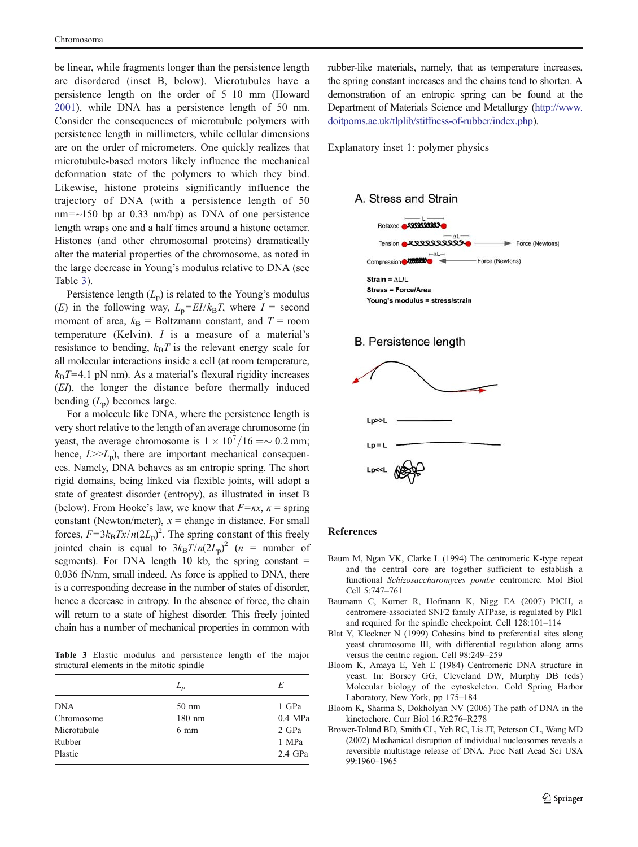<span id="page-6-0"></span>be linear, while fragments longer than the persistence length are disordered (inset B, below). Microtubules have a persistence length on the order of 5–10 mm (Howard [2001\)](#page-7-0), while DNA has a persistence length of 50 nm. Consider the consequences of microtubule polymers with persistence length in millimeters, while cellular dimensions are on the order of micrometers. One quickly realizes that microtubule-based motors likely influence the mechanical deformation state of the polymers to which they bind. Likewise, histone proteins significantly influence the trajectory of DNA (with a persistence length of 50  $nm=-150$  bp at 0.33 nm/bp) as DNA of one persistence length wraps one and a half times around a histone octamer. Histones (and other chromosomal proteins) dramatically alter the material properties of the chromosome, as noted in the large decrease in Young's modulus relative to DNA (see Table 3).

Persistence length  $(L_p)$  is related to the Young's modulus (E) in the following way,  $L_p = EI/k_B T$ , where  $I =$  second moment of area,  $k_B$  = Boltzmann constant, and  $T =$  room temperature (Kelvin). I is a measure of a material's resistance to bending,  $k_BT$  is the relevant energy scale for all molecular interactions inside a cell (at room temperature,  $k_B T=4.1$  pN nm). As a material's flexural rigidity increases (EI), the longer the distance before thermally induced bending  $(L_p)$  becomes large.

For a molecule like DNA, where the persistence length is very short relative to the length of an average chromosome (in yeast, the average chromosome is  $1 \times 10^7/16 = \sim 0.2$  mm; hence,  $L>>L_p$ , there are important mechanical consequences. Namely, DNA behaves as an entropic spring. The short rigid domains, being linked via flexible joints, will adopt a state of greatest disorder (entropy), as illustrated in inset B (below). From Hooke's law, we know that  $F=xx$ ,  $\kappa =$  spring constant (Newton/meter),  $x =$  change in distance. For small forces,  $F = 3k_B Tx/n(2L_p)^2$ . The spring constant of this freely jointed chain is equal to  $3k_BT/n(2L_p)^2$  (*n* = number of segments). For DNA length 10 kb, the spring constant  $=$ 0.036 fN/nm, small indeed. As force is applied to DNA, there is a corresponding decrease in the number of states of disorder, hence a decrease in entropy. In the absence of force, the chain will return to a state of highest disorder. This freely jointed chain has a number of mechanical properties in common with

Table 3 Elastic modulus and persistence length of the major structural elements in the mitotic spindle

|             | $L_p$           | E                 |
|-------------|-----------------|-------------------|
| <b>DNA</b>  | $50 \text{ nm}$ | 1 GPa             |
| Chromosome  | $180$ nm        | $0.4 \text{ MPa}$ |
| Microtubule | $6 \text{ mm}$  | 2 GPa             |
| Rubber      |                 | 1 MPa             |
| Plastic     |                 | $2.4$ GPa         |

rubber-like materials, namely, that as temperature increases, the spring constant increases and the chains tend to shorten. A demonstration of an entropic spring can be found at the Department of Materials Science and Metallurgy [\(http://www.](http://www.doitpoms.ac.uk/tlplib/stiffness-of-rubber/index.php) [doitpoms.ac.uk/tlplib/stiffness-of-rubber/index.php\)](http://www.doitpoms.ac.uk/tlplib/stiffness-of-rubber/index.php).

Explanatory inset 1: polymer physics



#### **B.** Persistence length



#### References

- Baum M, Ngan VK, Clarke L (1994) The centromeric K-type repeat and the central core are together sufficient to establish a functional Schizosaccharomyces pombe centromere. Mol Biol Cell 5:747–761
- Baumann C, Korner R, Hofmann K, Nigg EA (2007) PICH, a centromere-associated SNF2 family ATPase, is regulated by Plk1 and required for the spindle checkpoint. Cell 128:101–114
- Blat Y, Kleckner N (1999) Cohesins bind to preferential sites along yeast chromosome III, with differential regulation along arms versus the centric region. Cell 98:249–259
- Bloom K, Amaya E, Yeh E (1984) Centromeric DNA structure in yeast. In: Borsey GG, Cleveland DW, Murphy DB (eds) Molecular biology of the cytoskeleton. Cold Spring Harbor Laboratory, New York, pp 175–184
- Bloom K, Sharma S, Dokholyan NV (2006) The path of DNA in the kinetochore. Curr Biol 16:R276–R278
- Brower-Toland BD, Smith CL, Yeh RC, Lis JT, Peterson CL, Wang MD (2002) Mechanical disruption of individual nucleosomes reveals a reversible multistage release of DNA. Proc Natl Acad Sci USA 99:1960–1965